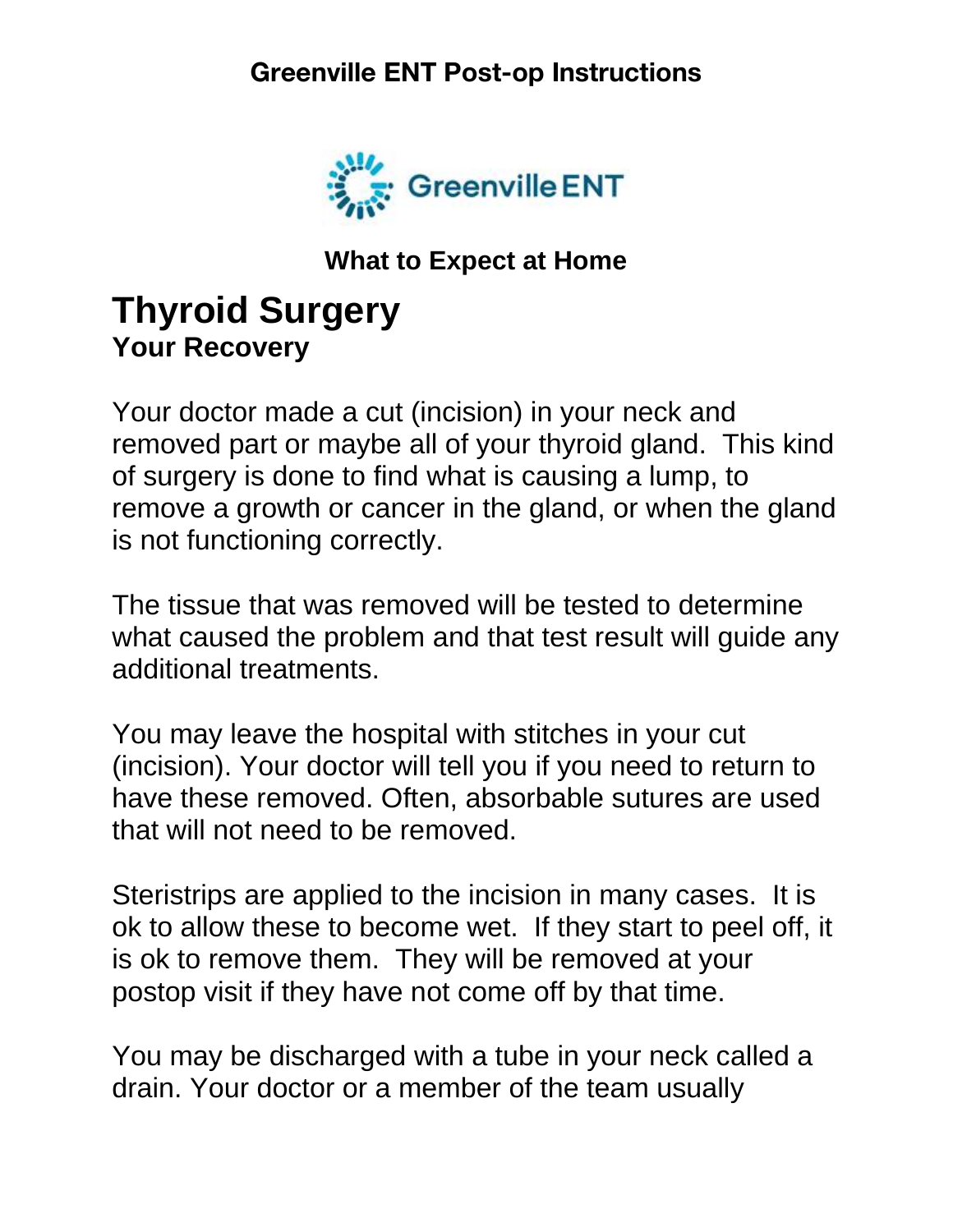

**What to Expect at Home**

# **Thyroid Surgery Your Recovery**

Your doctor made a cut (incision) in your neck and removed part or maybe all of your thyroid gland. This kind of surgery is done to find what is causing a lump, to remove a growth or cancer in the gland, or when the gland is not functioning correctly.

The tissue that was removed will be tested to determine what caused the problem and that test result will guide any additional treatments.

You may leave the hospital with stitches in your cut (incision). Your doctor will tell you if you need to return to have these removed. Often, absorbable sutures are used that will not need to be removed.

Steristrips are applied to the incision in many cases. It is ok to allow these to become wet. If they start to peel off, it is ok to remove them. They will be removed at your postop visit if they have not come off by that time.

You may be discharged with a tube in your neck called a drain. Your doctor or a member of the team usually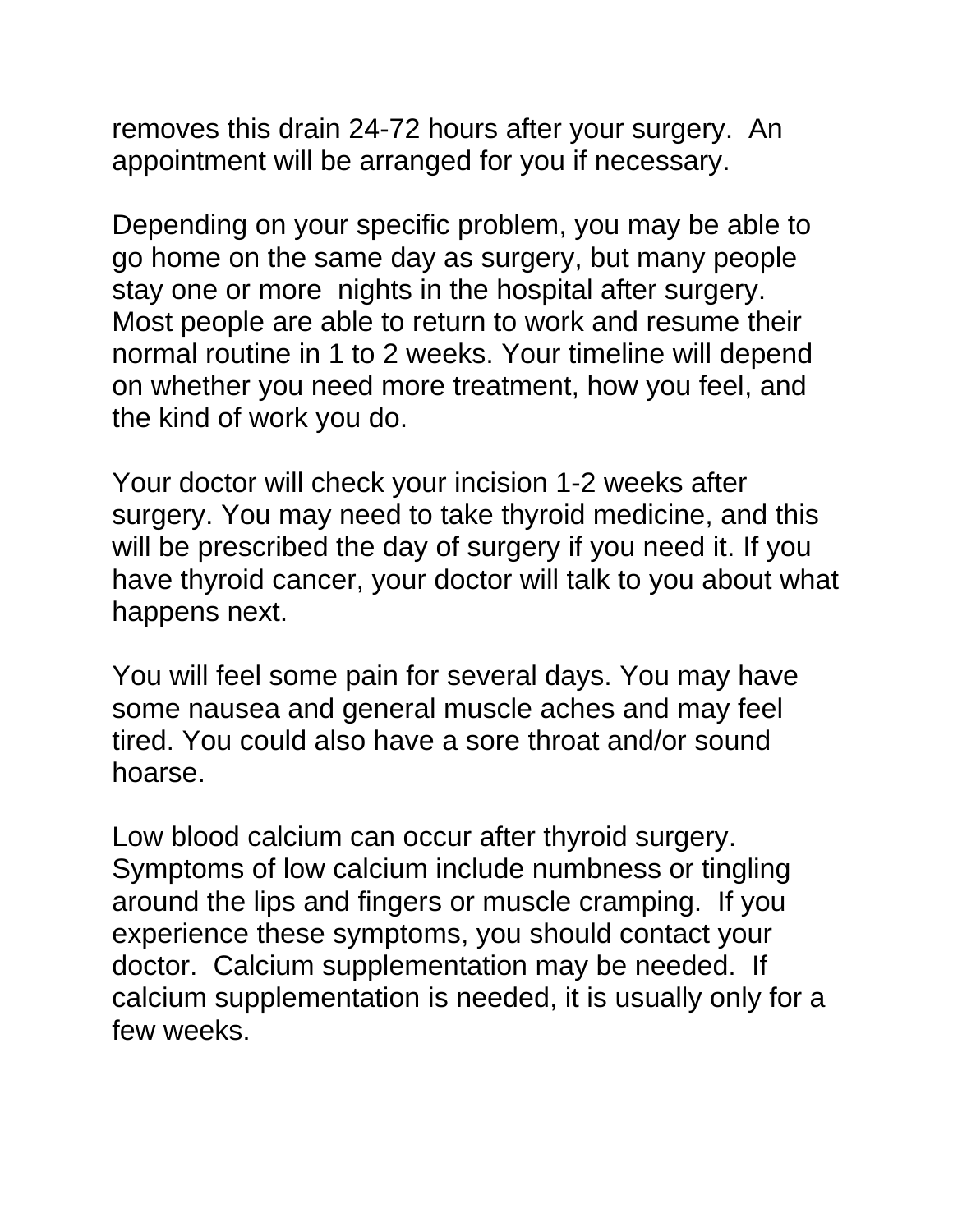removes this drain 24-72 hours after your surgery. An appointment will be arranged for you if necessary.

Depending on your specific problem, you may be able to go home on the same day as surgery, but many people stay one or more nights in the hospital after surgery. Most people are able to return to work and resume their normal routine in 1 to 2 weeks. Your timeline will depend on whether you need more treatment, how you feel, and the kind of work you do.

Your doctor will check your incision 1-2 weeks after surgery. You may need to take thyroid medicine, and this will be prescribed the day of surgery if you need it. If you have thyroid cancer, your doctor will talk to you about what happens next.

You will feel some pain for several days. You may have some nausea and general muscle aches and may feel tired. You could also have a sore throat and/or sound hoarse.

Low blood calcium can occur after thyroid surgery. Symptoms of low calcium include numbness or tingling around the lips and fingers or muscle cramping. If you experience these symptoms, you should contact your doctor. Calcium supplementation may be needed. If calcium supplementation is needed, it is usually only for a few weeks.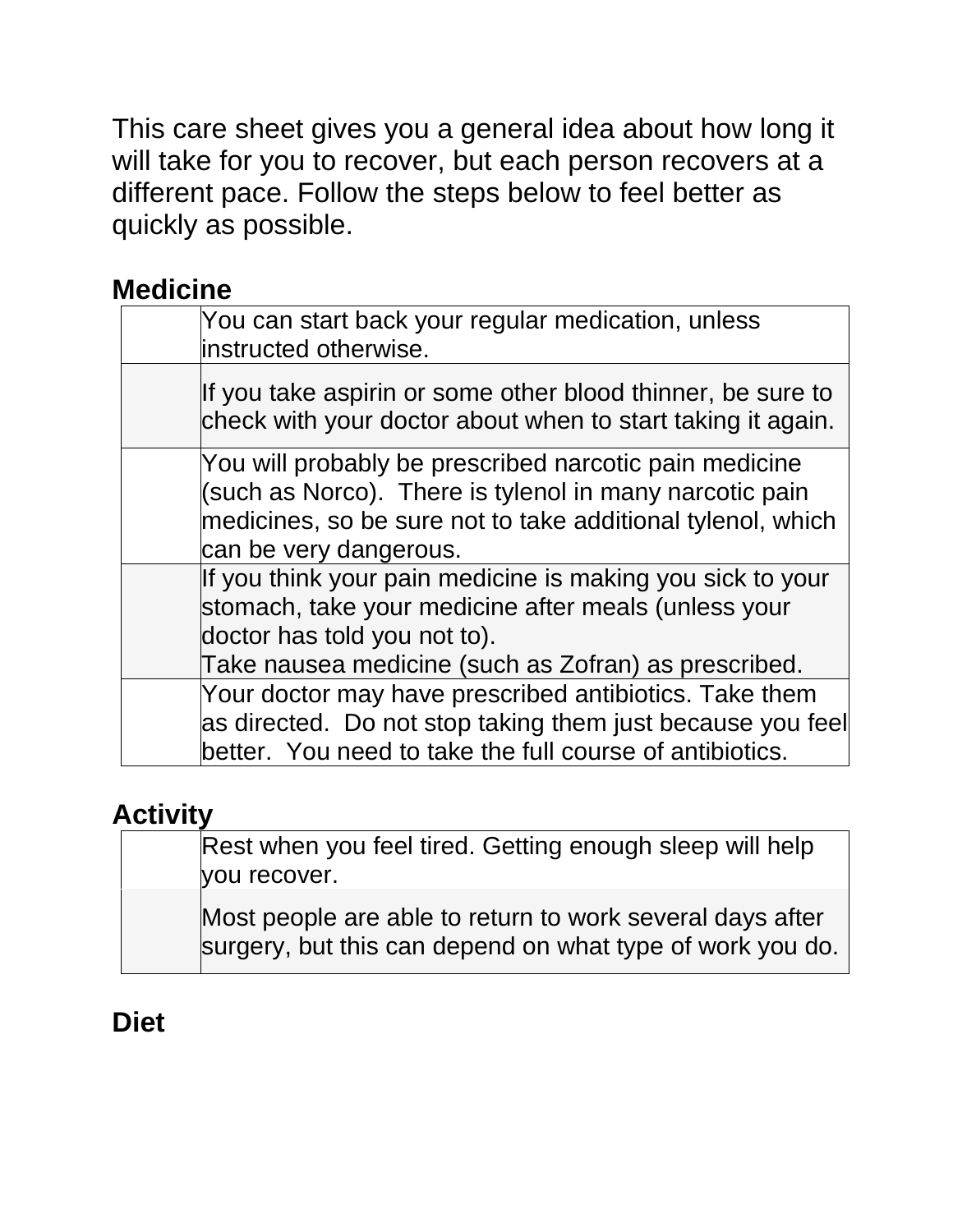This care sheet gives you a general idea about how long it will take for you to recover, but each person recovers at a different pace. Follow the steps below to feel better as quickly as possible.

### **Medicine**

| You can start back your regular medication, unless<br>instructed otherwise.                                                                                                                                |
|------------------------------------------------------------------------------------------------------------------------------------------------------------------------------------------------------------|
| If you take aspirin or some other blood thinner, be sure to<br>check with your doctor about when to start taking it again.                                                                                 |
| You will probably be prescribed narcotic pain medicine<br>(such as Norco). There is tylenol in many narcotic pain<br>medicines, so be sure not to take additional tylenol, which<br>can be very dangerous. |
| If you think your pain medicine is making you sick to your<br>stomach, take your medicine after meals (unless your<br>doctor has told you not to).<br>Take nausea medicine (such as Zofran) as prescribed. |
| Your doctor may have prescribed antibiotics. Take them<br>as directed. Do not stop taking them just because you feel<br>better. You need to take the full course of antibiotics.                           |

### **Activity**

| Rest when you feel tired. Getting enough sleep will help                                                               |
|------------------------------------------------------------------------------------------------------------------------|
| you recover.                                                                                                           |
| Most people are able to return to work several days after<br>surgery, but this can depend on what type of work you do. |

## **Diet**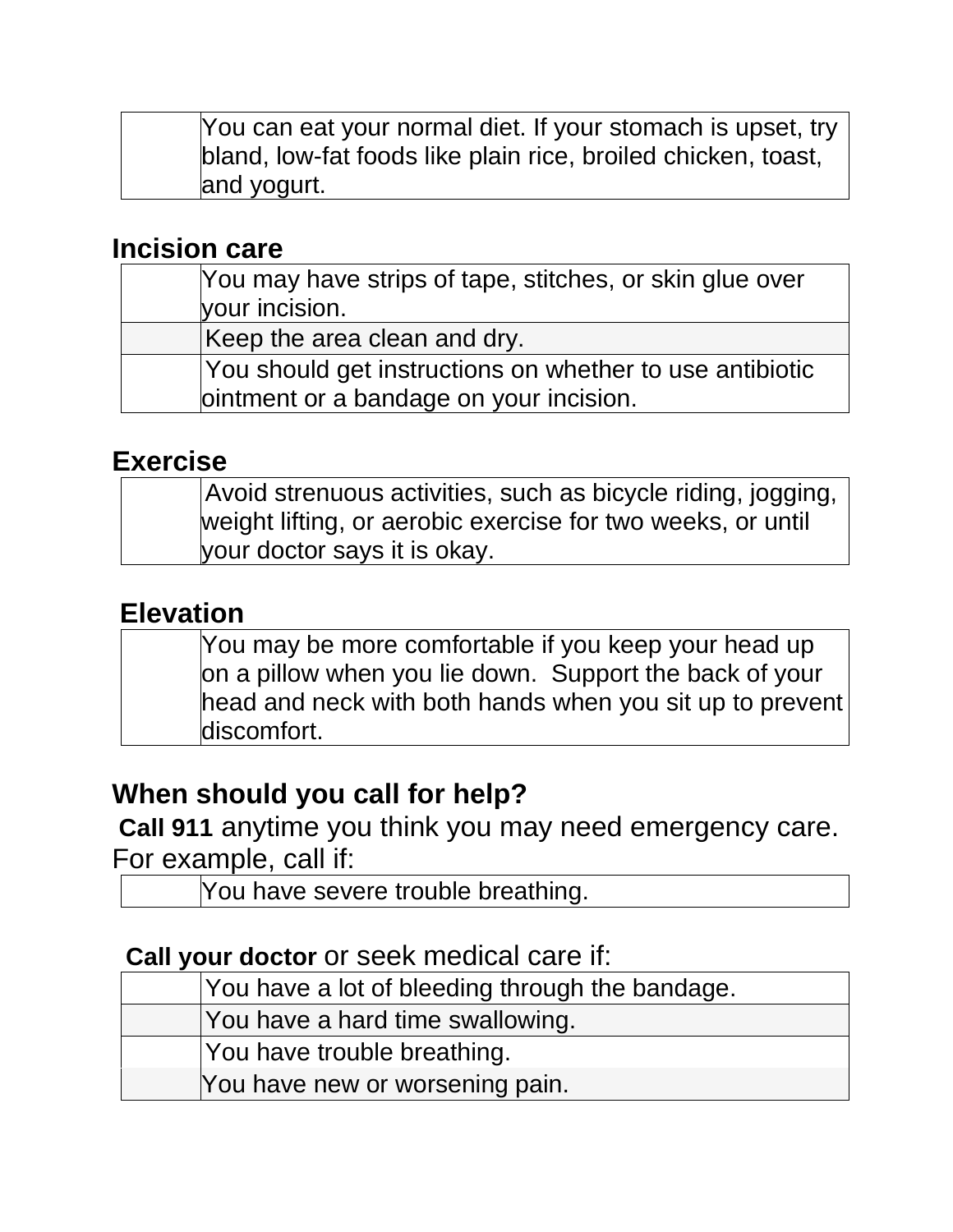You can eat your normal diet. If your stomach is upset, try bland, low-fat foods like plain rice, broiled chicken, toast, and yogurt.

#### **Incision care**

| You may have strips of tape, stitches, or skin glue over |
|----------------------------------------------------------|
| your incision.                                           |
| Keep the area clean and dry.                             |
| You should get instructions on whether to use antibiotic |
| ointment or a bandage on your incision.                  |

#### **Exercise**

| Avoid strenuous activities, such as bicycle riding, jogging, |
|--------------------------------------------------------------|
| weight lifting, or aerobic exercise for two weeks, or until  |
| your doctor says it is okay.                                 |

### **Elevation**

You may be more comfortable if you keep your head up on a pillow when you lie down. Support the back of your head and neck with both hands when you sit up to prevent discomfort.

### **When should you call for help?**

**Call 911** anytime you think you may need emergency care. For example, call if:

You have severe trouble breathing.

#### **Call your doctor** or seek medical care if:

| You have a lot of bleeding through the bandage. |
|-------------------------------------------------|
| You have a hard time swallowing.                |
| You have trouble breathing.                     |
| You have new or worsening pain.                 |